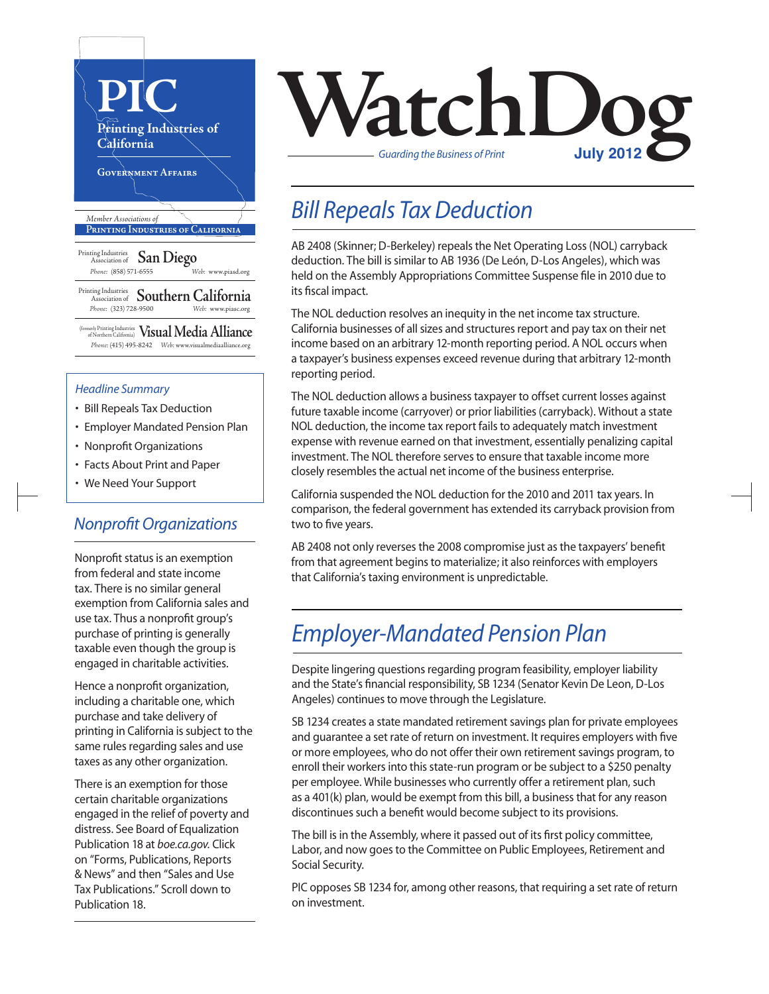

#### *Headline Summary*

- Bill Repeals Tax Deduction
- Employer Mandated Pension Plan
- Nonprofit Organizations
- Facts About Print and Paper
- We Need Your Support

### *Nonprofit Organizations*

Nonprofit status is an exemption from federal and state income tax. There is no similar general exemption from California sales and use tax. Thus a nonprofit group's purchase of printing is generally taxable even though the group is engaged in charitable activities.

Hence a nonprofit organization, including a charitable one, which purchase and take delivery of printing in California is subject to the same rules regarding sales and use taxes as any other organization.

There is an exemption for those certain charitable organizations engaged in the relief of poverty and distress. See Board of Equalization Publication 18 at *boe.ca.gov.* Click on "Forms, Publications, Reports & News" and then "Sales and Use Tax Publications." Scroll down to Publication 18.



### *Bill Repeals Tax Deduction*

AB 2408 (Skinner; D-Berkeley) repeals the Net Operating Loss (NOL) carryback deduction. The bill is similar to AB 1936 (De León, D-Los Angeles), which was held on the Assembly Appropriations Committee Suspense file in 2010 due to its fiscal impact.

The NOL deduction resolves an inequity in the net income tax structure. California businesses of all sizes and structures report and pay tax on their net income based on an arbitrary 12-month reporting period. A NOL occurs when a taxpayer's business expenses exceed revenue during that arbitrary 12-month reporting period.

The NOL deduction allows a businesstaxpayer to offset current losses against future taxable income (carryover) or prior liabilities (carryback). Without a state NOL deduction, the income tax report fails to adequately match investment expense with revenue earned on that investment, essentially penalizing capital investment. The NOL therefore serves to ensure that taxable income more closely resembles the actual net income of the business enterprise.

California suspended the NOL deduction for the 2010 and 2011 tax years. In comparison, the federal government has extended its carryback provision from two to five years.

AB 2408 not only reverses the 2008 compromise just as the taxpayers' benefit from that agreement begins to materialize; it also reinforces with employers that California's taxing environment is unpredictable.

### *Employer-Mandated Pension Plan*

Despite lingering questions regarding program feasibility, employer liability and the State's financial responsibility, SB 1234 (Senator Kevin De Leon, D-Los Angeles) continues to move through the Legislature.

SB 1234 creates a state mandated retirement savings plan for private employees and guarantee a set rate of return on investment. It requires employers with five or more employees, who do not offer their own retirement savings program, to enroll their workers into this state-run program or be subject to a \$250 penalty per employee. While businesses who currently offer a retirement plan, such as a 401(k) plan, would be exempt from this bill, a business that for any reason discontinues such a benefit would become subject to its provisions.

The bill is in the Assembly, where it passed out of its first policy committee, Labor, and now goes to the Committee on Public Employees, Retirement and Social Security.

PIC opposes SB 1234 for, among other reasons, that requiring a set rate of return on investment.